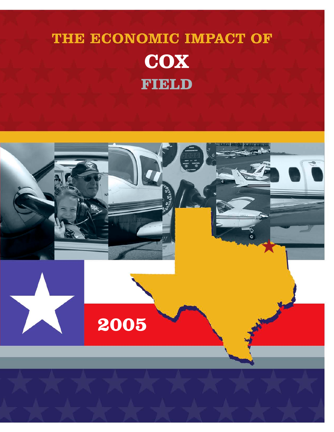# THE ECONOMIC IMPACT OF **Cox Field**

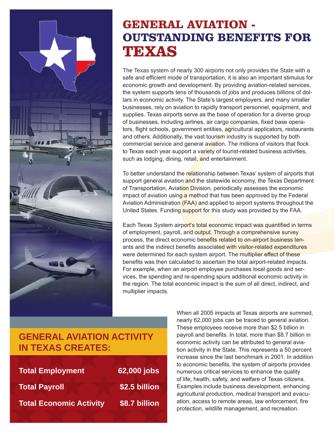

## **General Aviation - Outstanding Benefits for TEXAS**

The Texas system of nearly 300 airports not only provides the State with a safe and efficient mode of transportation, it is also an important stimulus for economic growth and development. By providing aviation-related services, the system supports tens of thousands of jobs and produces billions of dollars in economic activity. The State's largest employers, and many smaller businesses, rely on aviation to rapidly transport personnel, equipment, and supplies. Texas airports serve as the base of operation for a diverse group of businesses, including airlines, air cargo companies, fixed base operators, flight schools, government entities, agricultural applicators, restaurants and others. Additionally, the vast tourism industry is supported by both commercial service and general aviation. The millions of visitors that flock to Texas each year support a variety of tourist-related business activities, such as lodging, dining, retail, and entertainment.

To better understand the relationship between Texas' system of airports that support general aviation and the statewide economy, the Texas Department of Transportation, Aviation Division, periodically assesses the economic impact of aviation using a method that has been approved by the Federal Aviation Administration (FAA) and applied to airport systems throughout the United States. Funding support for this study was provided by the FAA.

Each Texas System airport's total economic impact was quantified in terms of employment, payroll, and output. Through a comprehensive survey process, the direct economic benefits related to on-airport business tenants and the indirect benefits associated with visitor-related expenditures were determined for each system airport. The multiplier effect of these benefits was then calculated to ascertain the total airport-related impacts. For example, when an airport employee purchases local goods and services, the spending and re-spending spurs additional economic activity in the region. The total economic impact is the sum of all direct, indirect, and multiplier impacts.

#### **General Aviation Activity in Texas Creates:**

| <b>Total Employment</b>        | 62,000 jobs   |
|--------------------------------|---------------|
| <b>Total Payroll</b>           | \$2.5 billion |
| <b>Total Economic Activity</b> | \$8.7 billion |

When all 2005 impacts at Texas airports are summed, nearly 62,000 jobs can be traced to general aviation. These employees receive more than \$2.5 billion in payroll and benefits. In total, more than \$8.7 billion in economic activity can be attributed to general aviation activity in the State. This represents a 50 percent increase since the last benchmark in 2001. In addition to economic benefits, the system of airports provides numerous critical services to enhance the quality of life, health, safety, and welfare of Texas citizens. Examples include business development, enhancing agricultural production, medical transport and evacuation, access to remote areas, law enforcement, fire protection, wildlife management, and recreation.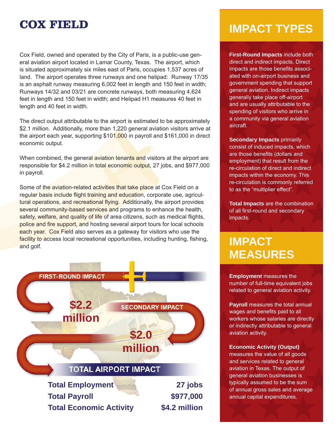### **Cox Field**

Cox Field, owned and operated by the City of Paris, is a public-use general aviation airport located in Lamar County, Texas. The airport, which is situated approximately six miles east of Paris, occupies 1,537 acres of land. The airport operates three runways and one helipad: Runway 17/35 is an asphalt runway measuring 6,002 feet in length and 150 feet in width; Runways 14/32 and 03/21 are concrete runways, both measuring 4,624 feet in length and 150 feet in width; and Helipad H1 measures 40 feet in length and 40 feet in width.

The direct output attributable to the airport is estimated to be approximately \$2.1 million. Additionally, more than 1,220 general aviation visitors arrive at the airport each year, supporting \$101,000 in payroll and \$161,000 in direct economic output.

When combined, the general aviation tenants and visitors at the airport are responsible for \$4.2 million in total economic output, 27 jobs, and \$977,000 in payroll.

Some of the aviation-related activities that take place at Cox Field on a regular basis include flight training and education, corporate use, agricultural operations, and recreational flying. Additionally, the airport provides several community-based services and programs to enhance the health, safety, welfare, and quality of life of area citizens, such as medical flights, police and fire support, and hosting several airport tours for local schools each year. Cox Field also serves as a gateway for visitors who use the facility to access local recreational opportunities, including hunting, fishing, and golf.



## **Impact Types**

**First-Round Impacts** include both direct and indirect impacts. Direct impacts are those benefits associated with on-airport business and government spending that support general aviation. Indirect impacts generally take place off-airport and are usually attributable to the spending of visitors who arrive in a community via general aviation aircraft.

**Secondary Impacts** primarily consist of induced impacts, which are those benefits (dollars and employment) that result from the re-circulation of direct and indirect impacts within the economy. This re-circulation is commonly referred to as the "multiplier effect".

**Total Impacts** are the combination of all first-round and secondary impacts.

## **Impact measures**

**Employment** measures the number of full-time equivalent jobs related to general aviation activity.

**Payroll** measures the total annual wages and benefits paid to all workers whose salaries are directly or indirectly attributable to general aviation activity.

**Economic Activity (Output)**

measures the value of all goods and services related to general aviation in Texas. The output of general aviation businesses is typically assumed to be the sum of annual gross sales and average annual capital expenditures.